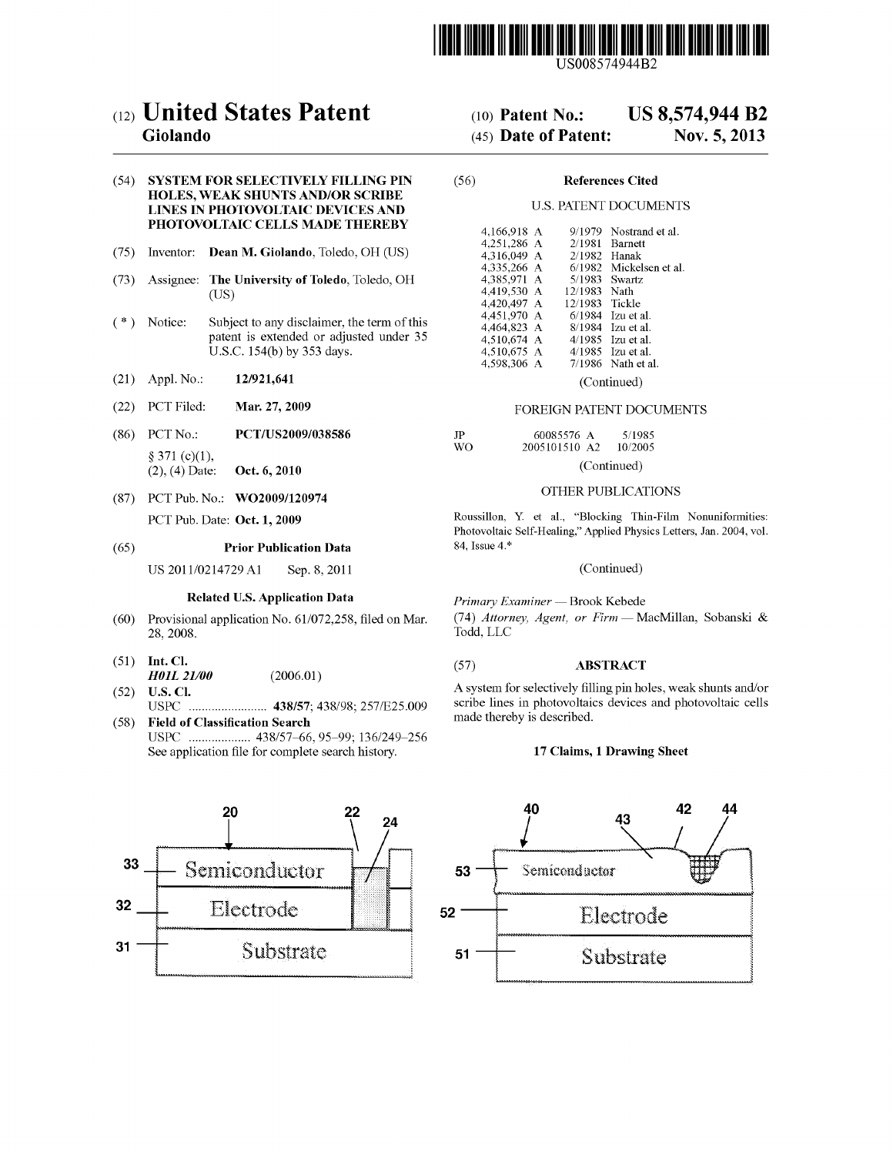

US008574944B2

# c12) **United States Patent**

## **Giolando**

### (54) **SYSTEM FOR SELECTIVELY FILLING PIN HOLES, WEAK SHUNTS AND/OR SCRIBE LINES IN PHOTOVOLTAIC DEVICES AND PHOTOVOLTAIC CELLS MADE THEREBY**

- (75) Inventor: **Dean M. Giolando,** Toledo, OH (US)
- (73) Assignee: **The University of Toledo,** Toledo, OH (US)
- (\*) Notice: Subject to any disclaimer, the term of this patent is extended or adjusted under 35 U.S.C. 154(b) by 353 days.
- (21) Appl. No.: **12/921,641**
- (22) PCT Filed: **Mar. 27, 2009**
- (86) PCT No.: **PCT /US2009/038586**   $§ 371 (c)(1),$ (2), ( 4) Date: **Oct. 6, 2010**
- (87) PCT Pub. No.: **WO2009/120974**  PCT Pub. Date: **Oct. 1, 2009**

#### (65) **Prior Publication Data**

US 2011/0214729 A1 Sep. 8, 2011

#### **Related U.S. Application Data**

- (60) Provisional application No. 61/072,258, filed on Mar. 28, 2008.
- (51) **Int. Cl.**
- *H0JL21/00* (2006.01)
- (52) **U.S. Cl.**  USPC ........................ **438/57;** 438/98; 257/E25.009
- ( 58) **Field of Classification Search**  USPC ................... 438/57-66, 95-99; 136/249-256 See application file for complete search history.



#### (IO) **Patent No.: US 8,574,944 B2**

#### (45) **Date of Patent: Nov. 5, 2013**

#### (56) **References Cited**

#### U.S. PATENT DOCUMENTS

| 4.166.918 A | 9/1979  | Nostrand et al.  |
|-------------|---------|------------------|
| 4,251,286 A | 2/1981  | Barnett          |
| 4.316.049 A | 2/1982  | Hanak            |
| 4,335,266 A | 6/1982  | Mickelsen et al. |
| 4,385,971 A | 5/1983  | Swartz           |
| 4,419,530 A | 12/1983 | Nath             |
| 4,420,497 A | 12/1983 | Tickle           |
| 4,451,970 A | 6/1984  | Izu et al.       |
| 4.464.823 A | 8/1984  | Izu et al.       |
| 4,510,674 A | 4/1985  | Izu et al.       |
| 4.510.675 A | 4/1985  | Izu et al.       |
| 4,598,306 A | 7/1986  | Nath et al.      |
|             |         |                  |

(Continued)

#### FOREIGN PATENT DOCUMENTS

| JP  | 60085576 A    | 5/1985      |  |  |  |
|-----|---------------|-------------|--|--|--|
| WO. | 2005101510 A2 | 10/2005     |  |  |  |
|     |               | (Continued) |  |  |  |

#### OTHER PUBLICATIONS

Roussillon, Y. et al., "Blocking Thin-Film Nonuniformities: Photovoltaic Self-Healing," Applied Physics Letters, Jan. 2004, vol. 84, Issue 4.\*

#### (Continued)

Primary Examiner - Brook Kebede

(74) *Attorney, Agent, or Firm* - MacMillan, Sobanski & Todd, LLC

#### (57) **ABSTRACT**

A system for selectively filling pin holes, weak shunts and/or scribe lines in photovoltaics devices and photovoltaic cells made thereby is described.

#### **17 Claims, 1 Drawing Sheet**

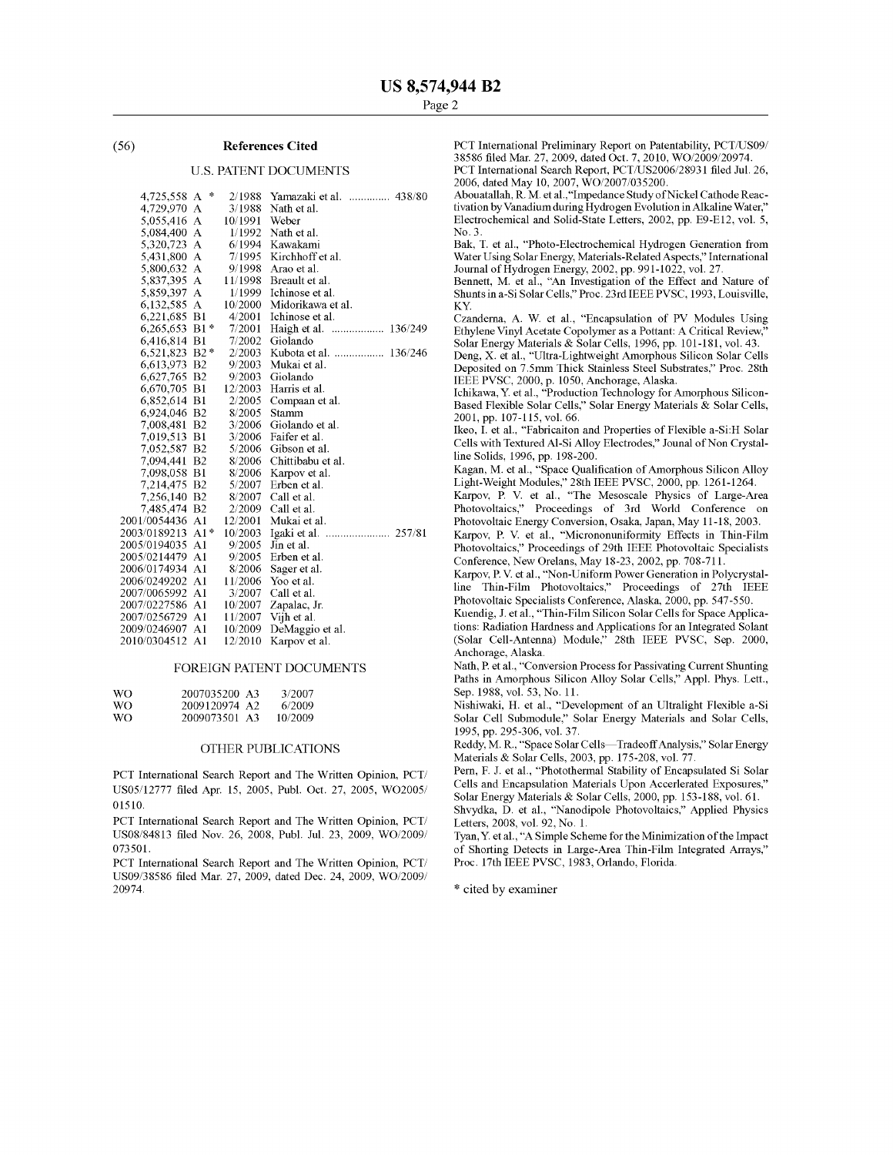#### (56) **References Cited**

#### U.S. PATENT DOCUMENTS

| 4,725,558 A   | 冰              | 2/1988  | Yamazaki et al.<br>438/80 |
|---------------|----------------|---------|---------------------------|
| 4,729,970     | А              | 3/1988  | Nath et al.               |
| 5,055,416     | А              | 10/1991 | Weber                     |
| 5,084,400     | А              | 1/1992  | Nath et al.               |
| 5,320,723     | А              | 6/1994  | Kawakami                  |
| 5,431,800     | А              | 7/1995  | Kirchhoff et al.          |
| 5,800,632     | А              | 9/1998  | Arao et al.               |
| 5,837,395     | А              | 11/1998 | Breault et al.            |
| 5,859,397     | A              | 1/1999  | Ichinose et al.           |
| 6,132,585     | $\mathbf{A}$   | 10/2000 | Midorikawa et al.         |
| 6,221,685 B1  |                | 4/2001  | Ichinose et al.           |
| 6,265,653 B1* |                | 7/2001  | Haigh et al.              |
| 6,416,814 B1  |                | 7/2002  | Giolando                  |
| 6,521,823 B2* |                | 2/2003  | Kubota et al.  136/246    |
| 6,613,973 B2  |                | 9/2003  | Mukai et al.              |
| 6,627,765 B2  |                | 9/2003  | Giolando                  |
| 6,670,705 B1  |                | 12/2003 | Harris et al.             |
| 6,852,614 B1  |                | 2/2005  | Compaan et al.            |
| 6,924,046 B2  |                | 8/2005  | Stamm                     |
| 7,008,481 B2  |                | 3/2006  | Giolando et al.           |
| 7,019,513 B1  |                | 3/2006  | Faifer et al.             |
| 7,052,587     | B <sub>2</sub> | 5/2006  | Gibson et al.             |
| 7,094,441     | B <sub>2</sub> | 8/2006  | Chittibabu et al.         |
| 7,098,058 B1  |                | 8/2006  | Karpov et al.             |
| 7,214,475     | B <sub>2</sub> | 5/2007  | Erben et al.              |
| 7,256,140     | B <sub>2</sub> | 8/2007  | Call et al.               |
| 7,485,474     | B <sub>2</sub> | 2/2009  | Call et al.               |
| 2001/0054436  | A <sub>1</sub> | 12/2001 | Mukai et al.              |
| 2003/0189213  | A1*            | 10/2003 | Igaki et al.  257/81      |
| 2005/0194035  | A1             | 9/2005  | Jin et al.                |
| 2005/0214479  | A <sub>1</sub> | 9/2005  | Erben et al.              |
| 2006/0174934  | A1             | 8/2006  | Sager et al.              |
| 2006/0249202  | A <sub>1</sub> | 11/2006 | Yoo et al.                |
| 2007/0065992  | A <sub>1</sub> | 3/2007  | Call et al.               |
| 2007/0227586  | A1             | 10/2007 | Zapalac, Jr.              |
| 2007/0256729  | A1             | 11/2007 | Vijh et al.               |
| 2009/0246907  | A1             | 10/2009 | DeMaggio et al.           |
| 2010/0304512  | Al             | 12/2010 | Karpov et al.             |

#### FOREIGN PATENT DOCUMENTS

| WΟ  | 2007035200 A3 | 3/2007  |
|-----|---------------|---------|
| WO. | 2009120974 A2 | 6/2009  |
| WΩ  | 2009073501 A3 | 10/2009 |

#### OTHER PUBLICATIONS

PCT International Search Report and The Written Opinion, PCT/ US05/12777 filed Apr. 15, 2005, Pub!. Oct. 27, 2005, WO2005/ 01510.

PCT International Search Report and The Written Opinion, PCT/ US0S/84813 filed Nov. 26, 2008, Pub!. Jul. 23, 2009, WO/2009/ 073501.

PCT International Search Report and The Written Opinion, PCT/ US09/38586 filed Mar. 27, 2009, dated Dec. 24, 2009, WO/2009/ 20974.

PCT International Preliminary Report on Patentability, PCT/US09/ 38586 filed Mar. 27, 2009, dated Oct. 7, 2010, WO/2009/20974. PCT International Search Report, PCT/US2006/28931 filed Jul. 26, 2006, dated May 10, 2007, WO/2007 /035200.

Abouatallah, R. M. et al., "Impedance Study of Nickel Cathode Reactivation by Vanadium during Hydrogen Evolution in Alkaline Water," Electrochemical and Solid-State Letters, 2002, pp. E9-El2, vol. 5, No.3.

Bak, T. et al., "Photo-Electrochemical Hydrogen Generation from Water Using Solar Energy, Materials-Related Aspects," International Journal of Hydrogen Energy, 2002, pp. 991-1022, vol. 27.

Bennett, M. et al., "An Investigation of the Effect and Nature of Shunts in a-Si Solar Cells," Proc. 23rd IEEE PVSC, 1993, Louisville, KY.

Czanderna, A. W. et al., "Encapsulation of PV Modules Using Ethylene Vinyl Acetate Copolymer as a Pottant: A Critical Review, Solar Energy Materials & Solar Cells, 1996, pp. 101-181, vol. 43.

Deng, X. et al., "Ultra-Lightweight Amorphous Silicon Solar Cells Deposited on 7 .5mm Thick Stainless Steel Substrates," Proc. 28th IEEE PVSC, 2000, p. 1050, Anchorage, Alaska.

Ichikawa, Y. et al., "Production Technology for Amorphous Silicon-Based Flexible Solar Cells," Solar Energy Materials & Solar Cells, 2001, pp. 107-115, vol. 66.

Ikeo, I. et al., "Fabricaiton and Properties of Flexible a-Si:H Solar Cells with Textured Al-Si Alloy Electrodes," Jounal of Non Crystalline Solids, 1996, pp. 198-200.

Kagan, M. et al., "Space Qualification of Amorphous Silicon Alloy Light-Weight Modules," 28th IEEE PVSC, 2000, pp. 1261-1264.

Karpov, P. V. et al., "The Mesoscale Physics of Large-Area Photovoltaics," Proceedings of 3rd World Conference on Photovoltaic Energy Conversion, Osaka, Japan, May 11-18, 2003.

Karpov, P. V. et al., "Micrononuniformity Effects in Thin-Film Photovoltaics," Proceedings of 29th IEEE Photovoltaic Specialists Conference, New Orelans, May 18-23, 2002, pp. 708-711.

Karpov, P. V. et al., "Non-Uniform Power Generation in Polycrystalline Thin-Film Photovoltaics," Proceedings of 27th IEEE Photovoltaic Specialists Conference, Alaska, 2000, pp. 547-550.

Kuendig, J. et al., "Thin-Film Silicon Solar Cells for Space Applications: Radiation Hardness and Applications for an Integrated Solant (Solar Cell-Antenna) Module," 28th IEEE PVSC, Sep. 2000, Anchorage, Alaska.

Nath, P. et al., "Conversion Process for Passivating Current Shunting Paths in Amorphous Silicon Alloy Solar Cells," Appl. Phys. Lett., Sep. 1988, vol. 53, No. 11.

Nishiwaki, H. et al., "Development of an Ultralight Flexible a-Si Solar Cell Submodule," Solar Energy Materials and Solar Cells, 1995, pp. 295-306, vol. 37.

Reddy, M. R., "Space Solar Cells-Tradeoff Analysis," Solar Energy Materials & Solar Cells, 2003, pp. 175-208, vol. 77.

Pern, F. J. et al., "Photothermal Stability of Encapsulated Si Solar Cells and Encapsulation Materials Upon Accerlerated Exposures," Solar Energy Materials & Solar Cells, 2000, pp. 153-188, vol. 61.

Shvydka, D. et al., "Nanodipole Photovoltaics," Applied Physics Letters, 2008, vol. 92, No. 1.

Tyan, Y. et al., "A Simple Scheme for the Minimization of the Impact of Shorting Detects in Large-Area Thin-Film Integrated Arrays," Proc. 17th IEEE PVSC, 1983, Orlando, Florida.

\* cited by examiner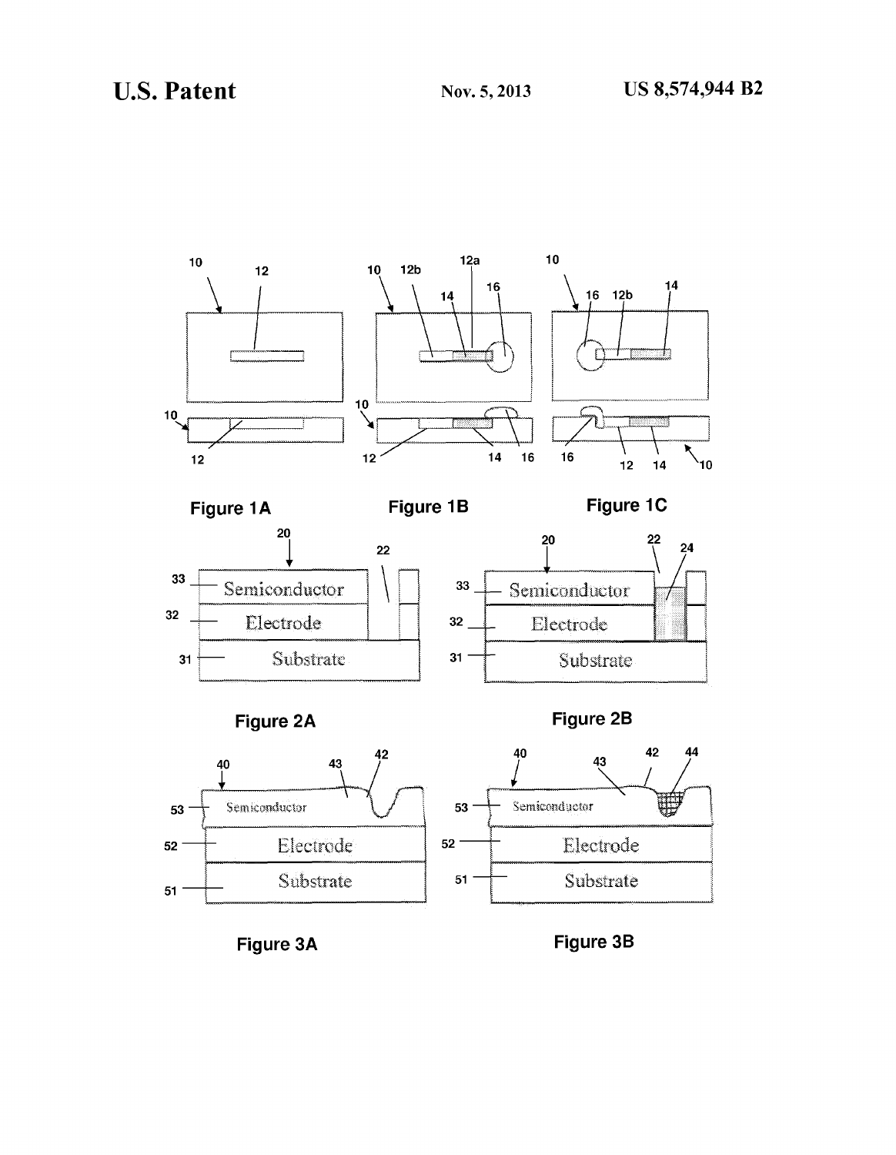

**Figure 3A** 

**Figure 38**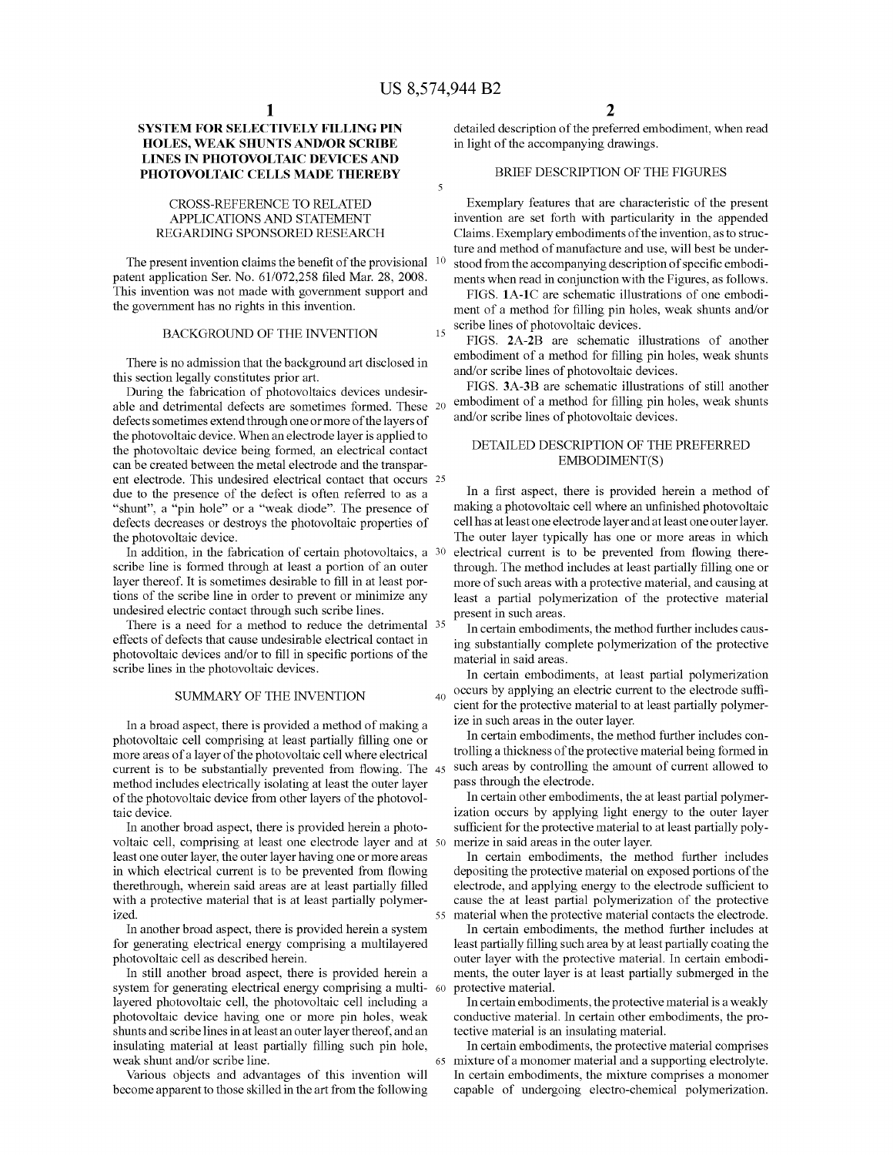$\overline{\phantom{a}}$ 

## **SYSTEM FOR SELECTIVELY FILLING PIN HOLES, WEAK SHUNTS AND/OR SCRIBE LINES IN PHOTOVOLTAIC DEVICES AND PHOTOVOLTAIC CELLS MADE THEREBY**

#### CROSS-REFERENCE TO RELATED APPLICATIONS AND STATEMENT REGARDING SPONSORED RESEARCH

The present invention claims the benefit of the provisional  $10$ patent application Ser. No. 61/072,258 filed Mar. 28, 2008. This invention was not made with government support and the government has no rights in this invention.

#### BACKGROUND OF THE INVENTION

There is no admission that the background art disclosed in this section legally constitutes prior art.

During the fabrication of photovoltaics devices undesirable and detrimental defects are sometimes formed. These 20 defects sometimes extend through one or more of the layers of the photovoltaic device. When an electrode layer is applied to the photovoltaic device being formed, an electrical contact can be created between the metal electrode and the transparent electrode. This undesired electrical contact that occurs 25 due to the presence of the defect is often referred to as a "shunt", a "pin hole" or a "weak diode". The presence of defects decreases or destroys the photovoltaic properties of the photovoltaic device.

In addition, in the fabrication of certain photovoltaics, a 30 scribe line is formed through at least a portion of an outer layer thereof. It is sometimes desirable to fill in at least portions of the scribe line in order to prevent or minimize any undesired electric contact through such scribe lines.

There is a need for a method to reduce the detrimental  $35 \text{ In certain embeddings, the method further includes caus-}$ effects of defects that cause undesirable electrical contact in photovoltaic devices and/or to fill in specific portions of the scribe lines in the photovoltaic devices.

#### SUMMARY OF THE INVENTION

In a broad aspect, there is provided a method of making a photovoltaic cell comprising at least partially filling one or more areas of a layer of the photovoltaic cell where electrical current is to be substantially prevented from flowing. The method includes electrically isolating at least the outer layer of the photovoltaic device from other layers of the photovoltaic device.

In another broad aspect, there is provided herein a photovoltaic cell, comprising at least one electrode layer and at 50 least one outer layer, the outer layer having one or more areas in which electrical current is to be prevented from flowing therethrough, wherein said areas are at least partially filled with a protective material that is at least partially polymerized.

In another broad aspect, there is provided herein a system for generating electrical energy comprising a multilayered photovoltaic cell as described herein.

In still another broad aspect, there is provided herein a system for generating electrical energy comprising a multi- 60 layered photovoltaic cell, the photovoltaic cell including a photovoltaic device having one or more pin holes, weak shunts and scribe lines in at least an outer layer thereof, and an insulating material at least partially filling such pin hole, weak shunt and/or scribe line.

Various objects and advantages of this invention will become apparent to those skilled in the art from the following detailed description of the preferred embodiment, when read in light of the accompanying drawings.

#### BRIEF DESCRIPTION OF THE FIGURES

Exemplary features that are characteristic of the present invention are set forth with particularity in the appended Claims. Exemplary embodiments of the invention, as to structure and method of manufacture and use, will best be understood from the accompanying description of specific embodiments when read in conjunction with the Figures, as follows.

FIGS. **lA-lC** are schematic illustrations of one embodiment of a method for filling pin holes, weak shunts and/or  $15$  scribe lines of photovoltaic devices.

FIGS. **2A-2B** are schematic illustrations of another embodiment of a method for filling pin holes, weak shunts and/or scribe lines of photovoltaic devices.

FIGS. **3A-3B** are schematic illustrations of still another embodiment of a method for filling pin holes, weak shunts and/or scribe lines of photovoltaic devices.

## DETAILED DESCRIPTION OF THE PREFERRED EMBODIMENT(S)

In a first aspect, there is provided herein a method of making a photovoltaic cell where an unfinished photovoltaic cell has at least one electrode layer and at least one outer layer. The outer layer typically has one or more areas in which electrical current is to be prevented from flowing therethrough. The method includes at least partially filling one or more of such areas with a protective material, and causing at least a partial polymerization of the protective material

ing substantially complete polymerization of the protective material in said areas.

In certain embodiments, at least partial polymerization  $_{40}$  occurs by applying an electric current to the electrode sufficient for the protective material to at least partially polymerize in such areas in the outer layer.

In certain embodiments, the method further includes controlling a thickness of the protective material being formed in such areas by controlling the amount of current allowed to pass through the electrode.

In certain other embodiments, the at least partial polymerization occurs by applying light energy to the outer layer sufficient for the protective material to at least partially polymerize in said areas in the outer layer.

In certain embodiments, the method further includes depositing the protective material on exposed portions of the electrode, and applying energy to the electrode sufficient to cause the at least partial polymerization of the protective 55 material when the protective material contacts the electrode.

In certain embodiments, the method further includes at least partially filling such area by at least partially coating the outer layer with the protective material. In certain embodiments, the outer layer is at least partially submerged in the protective material.

In certain embodiments, the protective material is a weakly conductive material. In certain other embodiments, the protective material is an insulating material.

In certain embodiments, the protective material comprises 65 mixture of a monomer material and a supporting electrolyte. In certain embodiments, the mixture comprises a monomer capable of undergoing electro-chemical polymerization.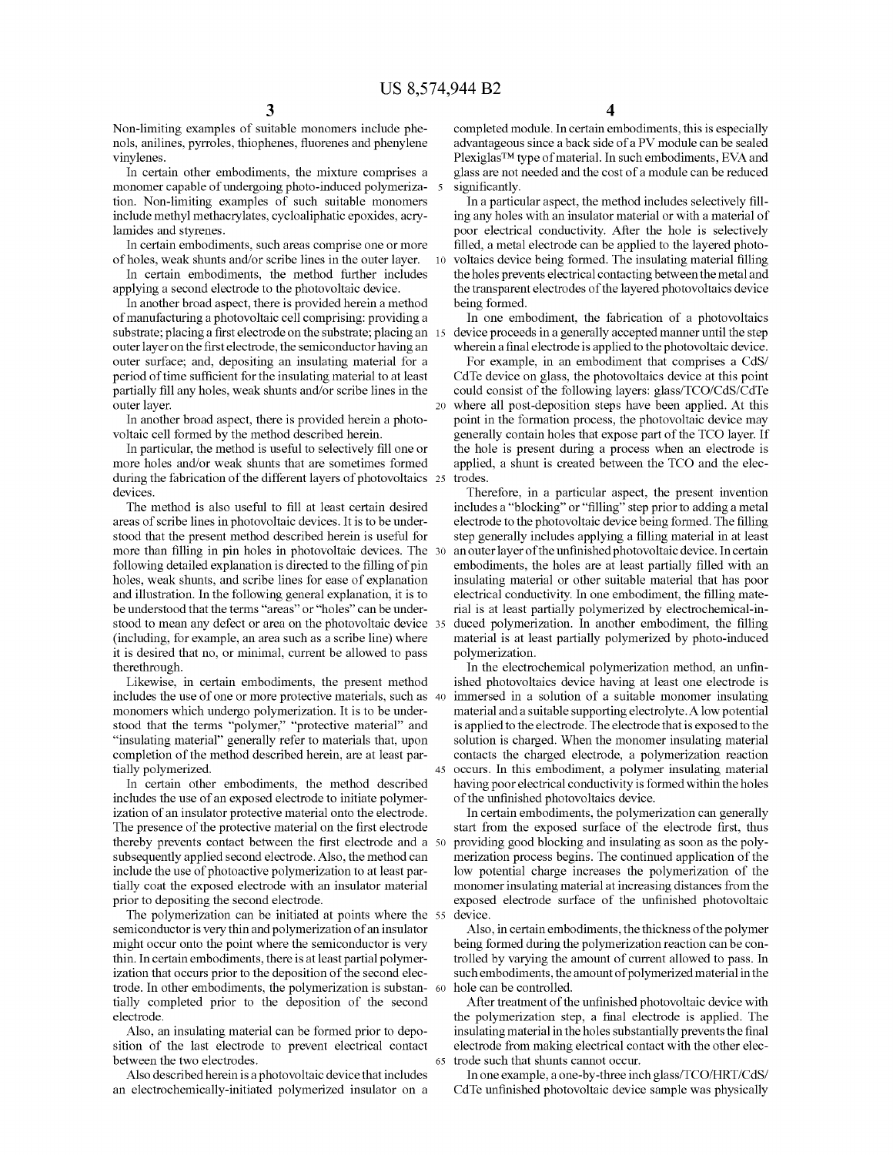Non-limiting examples of suitable monomers include phenols, anilines, pyrroles, thiophenes, fluorenes and phenylene vinylenes.

In certain other embodiments, the mixture comprises a monomer capable of undergoing photo-induced polymerization. Non-limiting examples of such suitable monomers include methyl methacrylates, cycloaliphatic epoxides, acrylamides and styrenes.

In certain embodiments, such areas comprise one or more of holes, weak shunts and/or scribe lines in the outer layer.

In certain embodiments, the method further includes applying a second electrode to the photovoltaic device.

In another broad aspect, there is provided herein a method of manufacturing a photovoltaic cell comprising: providing a substrate; placing a first electrode on the substrate; placing an 15 outer layer on the first electrode, the semiconductor having an outer surface; and, depositing an insulating material for a period of time sufficient for the insulating material to at least partially fill any holes, weak shunts and/or scribe lines in the outer layer.

In another broad aspect, there is provided herein a photovoltaic cell formed by the method described herein.

In particular, the method is useful to selectively fill one or more holes and/or weak shunts that are sometimes formed during the fabrication of the different layers of photovoltaics 25 devices.

The method is also useful to fill at least certain desired areas of scribe lines in photovoltaic devices. It is to be understood that the present method described herein is useful for more than filling in pin holes in photovoltaic devices. The following detailed explanation is directed to the filling of pin holes, weak shunts, and scribe lines for ease of explanation and illustration. In the following general explanation, it is to be understood that the terms "areas" or "holes" can be understood to mean any defect or area on the photovoltaic device 35 (including, for example, an area such as a scribe line) where it is desired that no, or minimal, current be allowed to pass therethrough.

Likewise, in certain embodiments, the present method includes the use of one or more protective materials, such as monomers which undergo polymerization. It is to be understood that the terms "polymer," "protective material" and "insulating material" generally refer to materials that, upon completion of the method described herein, are at least partially polymerized.

In certain other embodiments, the method described includes the use of an exposed electrode to initiate polymerization of an insulator protective material onto the electrode. The presence of the protective material on the first electrode thereby prevents contact between the first electrode and a 50 subsequently applied second electrode. Also, the method can include the use of photoactive polymerization to at least partially coat the exposed electrode with an insulator material prior to depositing the second electrode.

The polymerization can be initiated at points where the 55 semiconductor is very thin and polymerization of an insulator might occur onto the point where the semiconductor is very thin. In certain embodiments, there is at least partial polymerization that occurs prior to the deposition of the second electrode. In other embodiments, the polymerization is substantially completed prior to the deposition of the second electrode.

Also, an insulating material can be formed prior to deposition of the last electrode to prevent electrical contact between the two electrodes.

Also described herein is a photovoltaic device that includes an electrochemically-initiated polymerized insulator on a

**4** 

completed module. In certain embodiments, this is especially advantageous since a back side of a PV module can be sealed Plexiglas™ type of material. In such embodiments, EVA and glass are not needed and the cost of a module can be reduced significantly.

In a particular aspect, the method includes selectively filling any holes with an insulator material or with a material of poor electrical conductivity. After the hole is selectively filled, a metal electrode can be applied to the layered photo-10 voltaics device being formed. The insulating material filling the holes prevents electrical contacting between the metal and the transparent electrodes of the layered photovoltaics device being formed.

In one embodiment, the fabrication of a photovoltaics device proceeds in a generally accepted manner until the step wherein a final electrode is applied to the photovoltaic device.

For example, in an embodiment that comprises a CdS/ CdTe device on glass, the photovoltaics device at this point could consist of the following layers: glass/TCO/CdS/CdTe 20 where all post-deposition steps have been applied. At this point in the formation process, the photovoltaic device may generally contain holes that expose part of the TCO layer. If the hole is present during a process when an electrode is applied, a shunt is created between the TCO and the electrodes.

Therefore, in a particular aspect, the present invention includes a "blocking" or "filling" step prior to adding a metal electrode to the photovoltaic device being formed. The filling step generally includes applying a filling material in at least an outer layer of the unfinished photovoltaic device. In certain embodiments, the holes are at least partially filled with an insulating material or other suitable material that has poor electrical conductivity. In one embodiment, the filling material is at least partially polymerized by electrochemical-induced polymerization. In another embodiment, the filling material is at least partially polymerized by photo-induced polymerization.

In the electrochemical polymerization method, an unfinished photovoltaics device having at least one electrode is immersed in a solution of a suitable monomer insulating material and a suitable supporting electrolyte. A low potential is applied to the electrode. The electrode that is exposed to the solution is charged. When the monomer insulating material contacts the charged electrode, a polymerization reaction occurs. In this embodiment, a polymer insulating material having poor electrical conductivity is formed within the holes of the unfinished photovoltaics device.

In certain embodiments, the polymerization can generally start from the exposed surface of the electrode first, thus providing good blocking and insulating as soon as the polymerization process begins. The continued application of the low potential charge increases the polymerization of the monomer insulating material at increasing distances from the exposed electrode surface of the unfinished photovoltaic device.

Also, in certain embodiments, the thickness of the polymer being formed during the polymerization reaction can be controlled by varying the amount of current allowed to pass. In such embodiments, the amount of polymerized material in the hole can be controlled.

After treatment of the unfinished photovoltaic device with the polymerization step, a final electrode is applied. The insulating material in the holes substantially prevents the final electrode from making electrical contact with the other elec-65 trode such that shunts cannot occur.

In one example, a one-by-three inch glass/TCO/HRT/CdS/ CdTe unfinished photovoltaic device sample was physically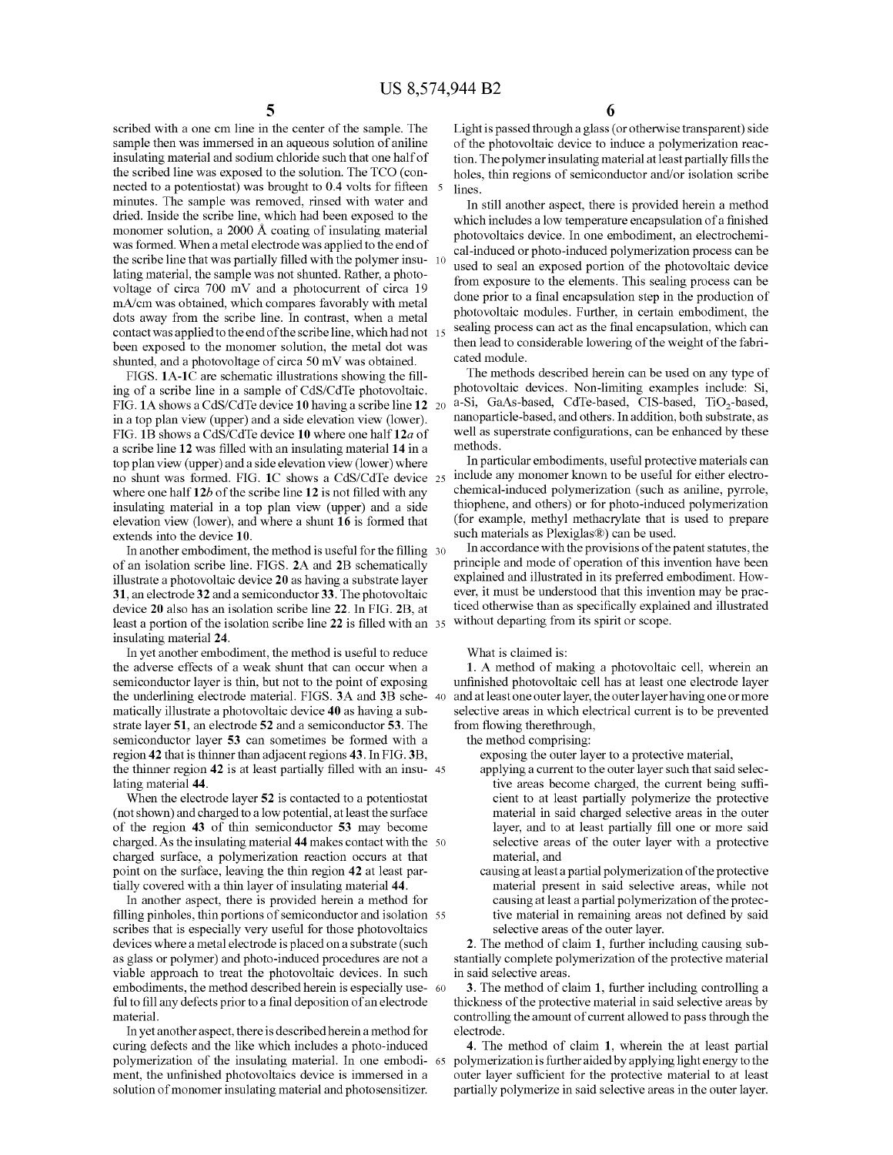scribed with a one cm line in the center of the sample. The sample then was immersed in an aqueous solution of aniline insulating material and sodium chloride such that one half of the scribed line was exposed to the solution. The TCO (connected to a potentiostat) was brought to 0.4 volts for fifteen minutes. The sample was removed, rinsed with water and dried. Inside the scribe line, which had been exposed to the monomer solution, a 2000 A coating of insulating material was formed. When a metal electrode was applied to the end of the scribe line that was partially filled with the polymer insulating material, the sample was not shunted. Rather, a photovoltage of circa  $700$  mV and a photocurrent of circa  $19$ mA/cm was obtained, which compares favorably with metal dots away from the scribe line. In contrast, when a metal contact was applied to the end of the scribe line, which had not been exposed to the monomer solution, the metal dot was shunted, and a photovoltage of circa 50 mV was obtained.

FIGS. **lA-lC** are schematic illustrations showing the filling of a scribe line in a sample of CdS/CdTe photovoltaic. FIG. **lA** shows a CdS/CdTe device **10** having a scribe line **12**  in a top plan view (upper) and a side elevation view (lower). FIG. **1B** shows a CdS/CdTe device **10** where one half **12a** of a scribe line **12** was filled with an insulating material **14** in a top plan view (upper) and a side elevation view (lower) where no shunt was formed. FIG. **lC** shows a CdS/CdTe device 25 where one half **12b** of the scribe line **12** is not filled with any insulating material in a top plan view (upper) and a side elevation view (lower), and where a shunt **16** is formed that extends into the device **10.** 

In another embodiment, the method is useful for the filling 30 of an isolation scribe line. FIGS. **2A** and **2B** schematically illustrate a photovoltaic device **20** as having a substrate layer **31,** an electrode **32** and a semiconductor **33.** The photovoltaic device **20** also has an isolation scribe line **22.** In FIG. **2B,** at least a portion of the isolation scribe line **22** is filled with an insulating material **24.** 

In yet another embodiment, the method is useful to reduce the adverse effects of a weak shunt that can occur when a semiconductor layer is thin, but not to the point of exposing the underlining electrode material. FIGS. **3A** and **3B** schematically illustrate a photovoltaic device **40** as having a substrate layer **51,** an electrode **52** and a semiconductor **53.** The semiconductor layer **53** can sometimes be formed with a region **42** that is thinner than adjacent regions **43.** In FIG. **3B,**  the thinner region **42** is at least partially filled with an insu- 45 lating material **44.** 

When the electrode layer **52** is contacted to a potentiostat (not shown) and charged to a low potential, at least the surface of the region **43** of thin semiconductor **53** may become charged. As the insulating material **44** makes contact with the 50 charged surface, a polymerization reaction occurs at that point on the surface, leaving the thin region **42** at least partially covered with a thin layer of insulating material **44.** 

In another aspect, there is provided herein a method for filling pinholes, thin portions of semiconductor and isolation 55 scribes that is especially very useful for those photovoltaics devices where a metal electrode is placed on a substrate (such as glass or polymer) and photo-induced procedures are not a viable approach to treat the photovoltaic devices. In such embodiments, the method described herein is especially use- 60 ful to fill any defects prior to a final deposition of an electrode material.

In yet another aspect, there is described herein a method for electrode. curing defects and the like which includes a photo-induced polymerization of the insulating material. In one embodiment, the unfinished photovoltaics device is immersed in a solution of monomer insulating material and photosensitizer.

Light is passed through a glass ( or otherwise transparent) side of the photovoltaic device to induce a polymerization reaction. The polymer insulating material at least partially fills the holes, thin regions of semiconductor and/or isolation scribe lines.

In still another aspect, there is provided herein a method which includes a low temperature encapsulation of a finished photovoltaics device. In one embodiment, an electrochemical-induced or photo-induced polymerization process can be used to seal an exposed portion of the photovoltaic device from exposure to the elements. This sealing process can be done prior to a final encapsulation step in the production of photovoltaic modules. Further, in certain embodiment, the sealing process can act as the final encapsulation, which can then lead to considerable lowering of the weight of the fabricated module.

The methods described herein can be used on any type of photovoltaic devices. Non-limiting examples include: Si, a-Si, GaAs-based, CdTe-based, CIS-based, TiO<sub>2</sub>-based, nanoparticle-based, and others. In addition, both substrate, as well as superstrate configurations, can be enhanced by these methods.

In particular embodiments, useful protective materials can include any monomer known to be useful for either electrochemical-induced polymerization (such as aniline, pyrrole, thiophene, and others) or for photo-induced polymerization (for example, methyl methacrylate that is used to prepare such materials as Plexiglas®) can be used.

In accordance with the provisions of the patent statutes, the principle and mode of operation of this invention have been explained and illustrated in its preferred embodiment. However, it must be understood that this invention may be practiced otherwise than as specifically explained and illustrated without departing from its spirit or scope.

#### What is claimed is:

**1.** A method of making a photovoltaic cell, wherein an unfinished photovoltaic cell has at least one electrode layer and at least one outer layer, the outer layer having one or more selective areas in which electrical current is to be prevented from flowing therethrough,

the method comprising:

exposing the outer layer to a protective material,

- applying a current to the outer layer such that said selective areas become charged, the current being sufficient to at least partially polymerize the protective material in said charged selective areas in the outer layer, and to at least partially fill one or more said selective areas of the outer layer with a protective material, and
- causing at least a partial polymerization of the protective material present in said selective areas, while not causing at least a partial polymerization of the protective material in remaining areas not defined by said selective areas of the outer layer.

**2.** The method of claim **1,** further including causing substantially complete polymerization of the protective material in said selective areas.

**3.** The method of claim **1,** further including controlling a thickness of the protective material in said selective areas by controlling the amount of current allowed to pass through the

**4.** The method of claim **1,** wherein the at least partial polymerization is further aided by applying light energy to the outer layer sufficient for the protective material to at least partially polymerize in said selective areas in the outer layer.